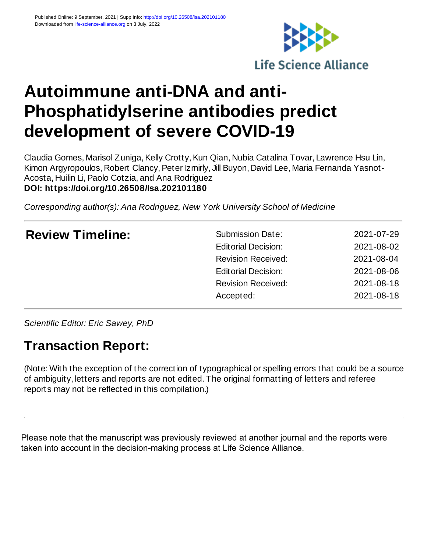

# **Autoimmune anti-DNA and anti-Phosphatidylserine antibodies predict development of severe COVID-19**

Claudia Gomes, Marisol Zuniga, Kelly Crotty, Kun Qian, Nubia Catalina Tovar, Lawrence Hsu Lin, Kimon Argyropoulos, Robert Clancy, Peter Izmirly, Jill Buyon, David Lee, Maria Fernanda Yasnot-Acosta, Huilin Li, Paolo Cotzia, and Ana Rodriguez **DOI: https://doi.org/10.26508/lsa.202101180**

*Corresponding author(s): Ana Rodriguez, New York University School of Medicine*

| <b>Review Timeline:</b> | <b>Submission Date:</b>    | 2021-07-29 |
|-------------------------|----------------------------|------------|
|                         | <b>Editorial Decision:</b> | 2021-08-02 |
|                         | <b>Revision Received:</b>  | 2021-08-04 |
|                         | <b>Editorial Decision:</b> | 2021-08-06 |
|                         | <b>Revision Received:</b>  | 2021-08-18 |
|                         | Accepted:                  | 2021-08-18 |
|                         |                            |            |

*Scientific Editor: Eric Sawey, PhD*

# **Transaction Report:**

(Note: With the exception of the correction of typographical or spelling errors that could be a source of ambiguity, letters and reports are not edited. The original formatting of letters and referee reports may not be reflected in this compilation.)

Please note that the manuscript was previously reviewed at another journal and the reports were taken into account in the decision-making process at Life Science Alliance.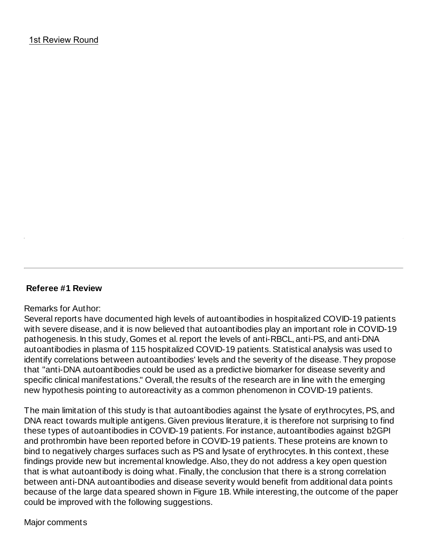### **Referee #1 Review**

#### Remarks for Author:

Several reports have documented high levels of autoantibodies in hospitalized COVID-19 patients with severe disease, and it is now believed that autoantibodies play an important role in COVID-19 pathogenesis. In this study, Gomes et al. report the levels of anti-RBCL, anti-PS, and anti-DNA autoantibodies in plasma of 115 hospitalized COVID-19 patients. Statistical analysis was used to identify correlations between autoantibodies' levels and the severity of the disease. They propose that "anti-DNA autoantibodies could be used as a predictive biomarker for disease severity and specific clinical manifestations." Overall, the results of the research are in line with the emerging new hypothesis pointing to autoreactivity as a common phenomenon in COVID-19 patients.

The main limitation of this study is that autoantibodies against the lysate of erythrocytes, PS, and DNA react towards multiple antigens. Given previous literature, it is therefore not surprising to find these types of autoantibodies in COVID-19 patients. For instance, autoantibodies against b2GPI and prothrombin have been reported before in COVID-19 patients. These proteins are known to bind to negatively charges surfaces such as PS and lysate of erythrocytes. In this context, these findings provide new but incremental knowledge. Also, they do not address a key open question that is what autoantibody is doing what. Finally, the conclusion that there is a strong correlation between anti-DNA autoantibodies and disease severity would benefit from additional data points because of the large data speared shown in Figure 1B. While interesting, the outcome of the paper could be improved with the following suggestions.

Major comments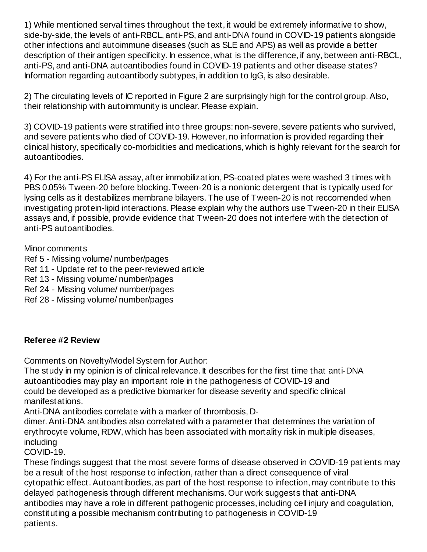1) While mentioned serval times throughout the text, it would be extremely informative to show, side-by-side, the levels of anti-RBCL, anti-PS, and anti-DNA found in COVID-19 patients alongside other infections and autoimmune diseases (such as SLE and APS) as well as provide a better description of their antigen specificity. In essence, what is the difference, if any, between anti-RBCL, anti-PS, and anti-DNA autoantibodies found in COVID-19 patients and other disease states? Information regarding autoantibody subtypes, in addition to IgG, is also desirable.

2) The circulating levels of IC reported in Figure 2 are surprisingly high for the control group. Also, their relationship with autoimmunity is unclear. Please explain.

3) COVID-19 patients were stratified into three groups: non-severe, severe patients who survived, and severe patients who died of COVID-19. However, no information is provided regarding their clinical history, specifically co-morbidities and medications, which is highly relevant for the search for autoantibodies.

4) For the anti-PS ELISA assay, after immobilization, PS-coated plates were washed 3 times with PBS 0.05% Tween-20 before blocking. Tween-20 is a nonionic detergent that is typically used for lysing cells as it destabilizes membrane bilayers. The use of Tween-20 is not reccomended when investigating protein-lipid interactions. Please explain why the authors use Tween-20 in their ELISA assays and, if possible, provide evidence that Tween-20 does not interfere with the detection of anti-PS autoantibodies.

Minor comments

- Ref 5 Missing volume/ number/pages
- Ref 11 Update ref to the peer-reviewed article
- Ref 13 Missing volume/ number/pages
- Ref 24 Missing volume/ number/pages
- Ref 28 Missing volume/ number/pages

# **Referee #2 Review**

Comments on Novelty/Model System for Author:

The study in my opinion is of clinical relevance. It describes for the first time that anti-DNA autoantibodies may play an important role in the pathogenesis of COVID-19 and could be developed as a predictive biomarker for disease severity and specific clinical manifestations.

Anti-DNA antibodies correlate with a marker of thrombosis, D-

dimer. Anti-DNA antibodies also correlated with a parameter that determines the variation of erythrocyte volume, RDW, which has been associated with mortality risk in multiple diseases, including

COVID-19.

These findings suggest that the most severe forms of disease observed in COVID-19 patients may be a result of the host response to infection, rather than a direct consequence of viral cytopathic effect. Autoantibodies, as part of the host response to infection, may contribute to this delayed pathogenesis through different mechanisms. Our work suggests that anti-DNA antibodies may have a role in different pathogenic processes, including cell injury and coagulation, constituting a possible mechanism contributing to pathogenesis in COVID-19 patients.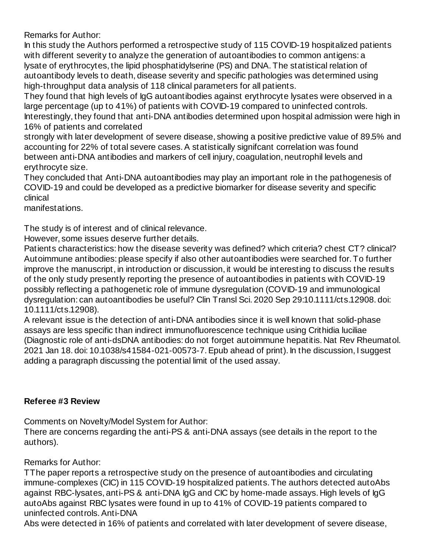Remarks for Author:

In this study the Authors performed a retrospective study of 115 COVID-19 hospitalized patients with different severity to analyze the generation of autoantibodies to common antigens: a lysate of erythrocytes, the lipid phosphatidylserine (PS) and DNA. The statistical relation of autoantibody levels to death, disease severity and specific pathologies was determined using high-throughput data analysis of 118 clinical parameters for all patients.

They found that high levels of IgG autoantibodies against erythrocyte lysates were observed in a large percentage (up to 41%) of patients with COVID-19 compared to uninfected controls. Interestingly, they found that anti-DNA antibodies determined upon hospital admission were high in 16% of patients and correlated

strongly with later development of severe disease, showing a positive predictive value of 89.5% and accounting for 22% of total severe cases. A statistically signifcant correlation was found between anti-DNA antibodies and markers of cell injury, coagulation, neutrophil levels and erythrocyte size.

They concluded that Anti-DNA autoantibodies may play an important role in the pathogenesis of COVID-19 and could be developed as a predictive biomarker for disease severity and specific clinical

manifestations.

The study is of interest and of clinical relevance.

However, some issues deserve further details.

Patients characteristics: how the disease severity was defined? which criteria? chest CT? clinical? Autoimmune antibodies: please specify if also other autoantibodies were searched for. To further improve the manuscript, in introduction or discussion, it would be interesting to discuss the results of the only study presently reporting the presence of autoantibodies in patients with COVID-19 possibly reflecting a pathogenetic role of immune dysregulation (COVID-19 and immunological dysregulation: can autoantibodies be useful? Clin Transl Sci. 2020 Sep 29:10.1111/cts.12908. doi: 10.1111/cts.12908).

A relevant issue is the detection of anti-DNA antibodies since it is well known that solid-phase assays are less specific than indirect immunofluorescence technique using Crithidia luciliae (Diagnostic role of anti-dsDNA antibodies: do not forget autoimmune hepatitis. Nat Rev Rheumatol. 2021 Jan 18. doi: 10.1038/s41584-021-00573-7. Epub ahead of print). In the discussion, I suggest adding a paragraph discussing the potential limit of the used assay.

### **Referee #3 Review**

Comments on Novelty/Model System for Author:

There are concerns regarding the anti-PS & anti-DNA assays (see details in the report to the authors).

Remarks for Author:

TThe paper reports a retrospective study on the presence of autoantibodies and circulating immune-complexes (CIC) in 115 COVID-19 hospitalized patients. The authors detected autoAbs against RBC-lysates, anti-PS & anti-DNA IgG and CIC by home-made assays. High levels of IgG autoAbs against RBC lysates were found in up to 41% of COVID-19 patients compared to uninfected controls. Anti-DNA

Abs were detected in 16% of patients and correlated with later development of severe disease,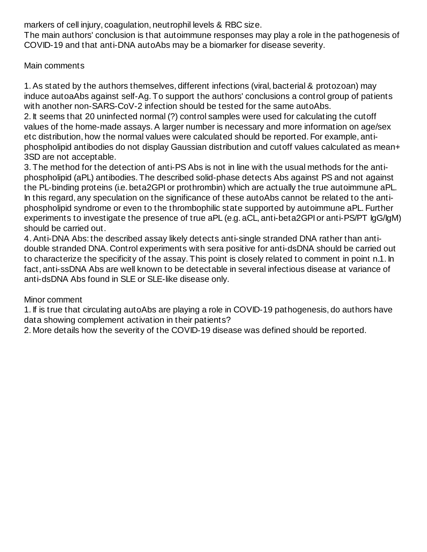markers of cell injury, coagulation, neutrophil levels & RBC size.

The main authors' conclusion is that autoimmune responses may play a role in the pathogenesis of COVID-19 and that anti-DNA autoAbs may be a biomarker for disease severity.

Main comments

1. As stated by the authors themselves, different infections (viral, bacterial & protozoan) may induce autoaAbs against self-Ag. To support the authors' conclusions a control group of patients with another non-SARS-CoV-2 infection should be tested for the same autoAbs.

2. It seems that 20 uninfected normal (?) control samples were used for calculating the cutoff values of the home-made assays. A larger number is necessary and more information on age/sex etc distribution, how the normal values were calculated should be reported. For example, antiphospholipid antibodies do not display Gaussian distribution and cutoff values calculated as mean+ 3SD are not acceptable.

3. The method for the detection of anti-PS Abs is not in line with the usual methods for the antiphospholipid (aPL) antibodies. The described solid-phase detects Abs against PS and not against the PL-binding proteins (i.e. beta2GPI or prothrombin) which are actually the true autoimmune aPL. In this regard, any speculation on the significance of these autoAbs cannot be related to the antiphospholipid syndrome or even to the thrombophilic state supported by autoimmune aPL. Further experiments to investigate the presence of true aPL (e.g. aCL, anti-beta2GPI or anti-PS/PT IgG/IgM) should be carried out.

4. Anti-DNA Abs: the described assay likely detects anti-single stranded DNA rather than antidouble stranded DNA. Control experiments with sera positive for anti-dsDNA should be carried out to characterize the specificity of the assay. This point is closely related to comment in point n.1. In fact, anti-ssDNA Abs are well known to be detectable in several infectious disease at variance of anti-dsDNA Abs found in SLE or SLE-like disease only.

# Minor comment

1. If is true that circulating autoAbs are playing a role in COVID-19 pathogenesis, do authors have data showing complement activation in their patients?

2. More details how the severity of the COVID-19 disease was defined should be reported.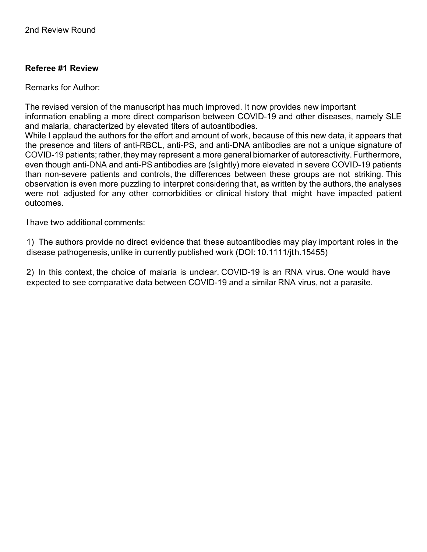# **Referee #1 Review**

Remarks for Author:

The revised version of the manuscript has much improved. It now provides new important information enabling a more direct comparison between COVID-19 and other diseases, namely SLE and malaria, characterized by elevated titers of autoantibodies.

While I applaud the authors for the effort and amount of work, because of this new data, it appears that the presence and titers of anti-RBCL, anti-PS, and anti-DNA antibodies are not a unique signature of COVID-19 patients; rather, they may represent a more general biomarker of autoreactivity. Furthermore, even though anti-DNA and anti-PS antibodies are (slightly) more elevated in severe COVID-19 patients than non-severe patients and controls, the differences between these groups are not striking. This observation is even more puzzling to interpret considering that, as written by the authors, the analyses were not adjusted for any other comorbidities or clinical history that might have impacted patient outcomes.

I have two additional comments:

1) The authors provide no direct evidence that these autoantibodies may play important roles in the disease pathogenesis, unlike in currently published work (DOI: 10.1111/jth.15455)

2) In this context, the choice of malaria is unclear. COVID-19 is an RNA virus. One would have expected to see comparative data between COVID-19 and a similar RNA virus, not a parasite.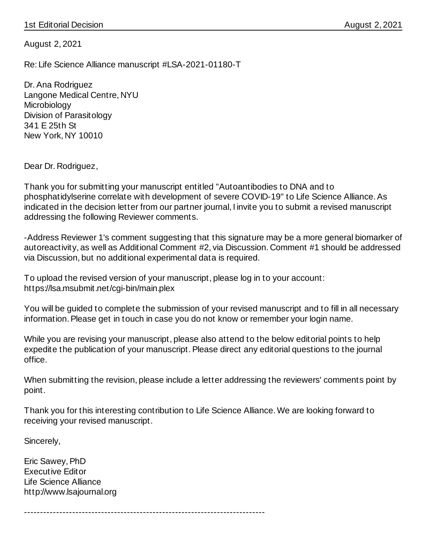August 2, 2021

Re: Life Science Alliance manuscript #LSA-2021-01180-T

Dr. Ana Rodriguez Langone Medical Centre, NYU Microbiology Division of Parasitology 341 E 25th St New York, NY 10010

Dear Dr. Rodriguez,

Thank you for submitting your manuscript entitled "Autoantibodies to DNA and to phosphatidylserine correlate with development of severe COVID-19" to Life Science Alliance. As indicated in the decision letter from our partner journal, I invite you to submit a revised manuscript addressing the following Reviewer comments.

-Address Reviewer 1's comment suggesting that this signature may be a more general biomarker of autoreactivity, as well as Additional Comment #2, via Discussion. Comment #1 should be addressed via Discussion, but no additional experimental data is required.

To upload the revised version of your manuscript, please log in to your account: https://lsa.msubmit.net/cgi-bin/main.plex

You will be guided to complete the submission of your revised manuscript and to fill in all necessary information. Please get in touch in case you do not know or remember your login name.

While you are revising your manuscript, please also attend to the below editorial points to help expedite the publication of your manuscript. Please direct any editorial questions to the journal office.

When submitting the revision, please include a letter addressing the reviewers' comments point by point.

Thank you for this interesting contribution to Life Science Alliance. We are looking forward to receiving your revised manuscript.

---------------------------------------------------------------------------

Sincerely,

Eric Sawey, PhD Executive Editor Life Science Alliance http://www.lsajournal.org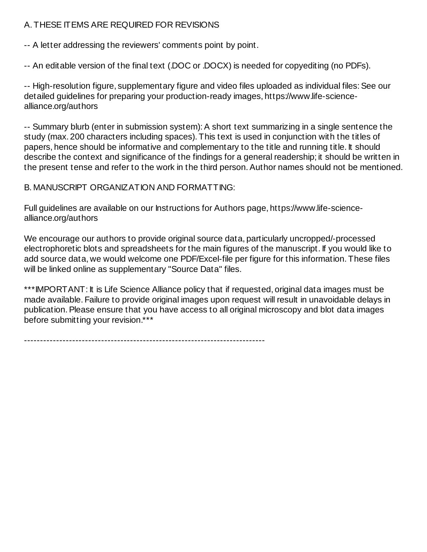# A. THESE ITEMS ARE REQUIRED FOR REVISIONS

-- A letter addressing the reviewers' comments point by point.

-- An editable version of the final text (.DOC or .DOCX) is needed for copyediting (no PDFs).

-- High-resolution figure, supplementary figure and video files uploaded as individual files: See our detailed guidelines for preparing your production-ready images, https://www.life-sciencealliance.org/authors

-- Summary blurb (enter in submission system): A short text summarizing in a single sentence the study (max. 200 characters including spaces). This text is used in conjunction with the titles of papers, hence should be informative and complementary to the title and running title. It should describe the context and significance of the findings for a general readership; it should be written in the present tense and refer to the work in the third person. Author names should not be mentioned.

B. MANUSCRIPT ORGANIZATION AND FORMATTING:

Full guidelines are available on our Instructions for Authors page, https://www.life-sciencealliance.org/authors

We encourage our authors to provide original source data, particularly uncropped/-processed electrophoretic blots and spreadsheets for the main figures of the manuscript. If you would like to add source data, we would welcome one PDF/Excel-file per figure for this information. These files will be linked online as supplementary "Source Data" files.

\*\*\*IMPORTANT: It is Life Science Alliance policy that if requested, original data images must be made available. Failure to provide original images upon request will result in unavoidable delays in publication. Please ensure that you have access to all original microscopy and blot data images before submitting your revision.\*\*\*

---------------------------------------------------------------------------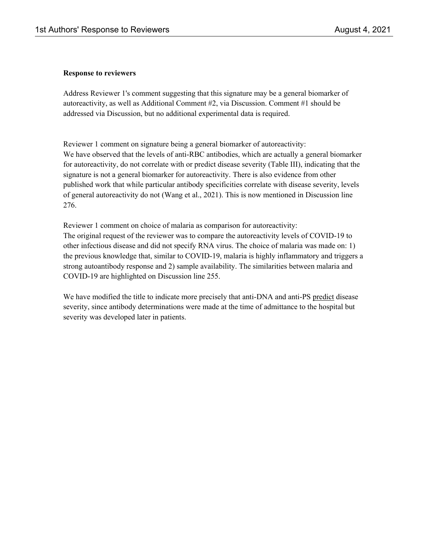#### **Response to reviewers**

Address Reviewer 1's comment suggesting that this signature may be a general biomarker of autoreactivity, as well as Additional Comment #2, via Discussion. Comment #1 should be addressed via Discussion, but no additional experimental data is required.

Reviewer 1 comment on signature being a general biomarker of autoreactivity: We have observed that the levels of anti-RBC antibodies, which are actually a general biomarker for autoreactivity, do not correlate with or predict disease severity (Table III), indicating that the signature is not a general biomarker for autoreactivity. There is also evidence from other published work that while particular antibody specificities correlate with disease severity, levels of general autoreactivity do not (Wang et al., 2021). This is now mentioned in Discussion line 276.

Reviewer 1 comment on choice of malaria as comparison for autoreactivity: The original request of the reviewer was to compare the autoreactivity levels of COVID-19 to other infectious disease and did not specify RNA virus. The choice of malaria was made on: 1) the previous knowledge that, similar to COVID-19, malaria is highly inflammatory and triggers a strong autoantibody response and 2) sample availability. The similarities between malaria and COVID-19 are highlighted on Discussion line 255.

We have modified the title to indicate more precisely that anti-DNA and anti-PS predict disease severity, since antibody determinations were made at the time of admittance to the hospital but severity was developed later in patients.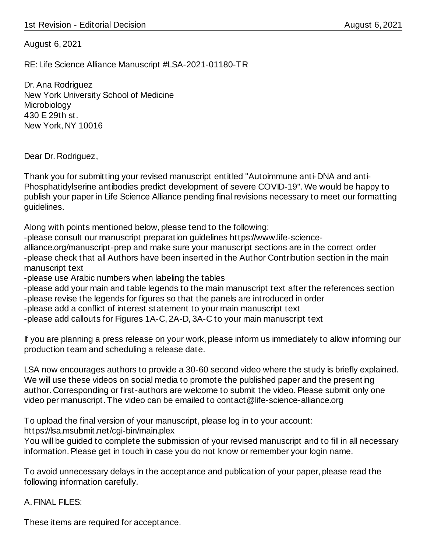August 6, 2021

RE: Life Science Alliance Manuscript #LSA-2021-01180-TR

Dr. Ana Rodriguez New York University School of Medicine **Microbiology** 430 E 29th st. New York, NY 10016

Dear Dr. Rodriguez,

Thank you for submitting your revised manuscript entitled "Autoimmune anti-DNA and anti-Phosphatidylserine antibodies predict development of severe COVID-19". We would be happy to publish your paper in Life Science Alliance pending final revisions necessary to meet our formatting guidelines.

Along with points mentioned below, please tend to the following:

-please consult our manuscript preparation guidelines https://www.life-science-

alliance.org/manuscript-prep and make sure your manuscript sections are in the correct order -please check that all Authors have been inserted in the Author Contribution section in the main manuscript text

- -please use Arabic numbers when labeling the tables
- -please add your main and table legends to the main manuscript text after the references section
- -please revise the legends for figures so that the panels are introduced in order
- -please add a conflict of interest statement to your main manuscript text
- -please add callouts for Figures 1A-C, 2A-D, 3A-C to your main manuscript text

If you are planning a press release on your work, please inform us immediately to allow informing our production team and scheduling a release date.

LSA now encourages authors to provide a 30-60 second video where the study is briefly explained. We will use these videos on social media to promote the published paper and the presenting author. Corresponding or first-authors are welcome to submit the video. Please submit only one video per manuscript. The video can be emailed to contact@life-science-alliance.org

To upload the final version of your manuscript, please log in to your account:

https://lsa.msubmit.net/cgi-bin/main.plex

You will be guided to complete the submission of your revised manuscript and to fill in all necessary information. Please get in touch in case you do not know or remember your login name.

To avoid unnecessary delays in the acceptance and publication of your paper, please read the following information carefully.

A. FINAL FILES:

These items are required for acceptance.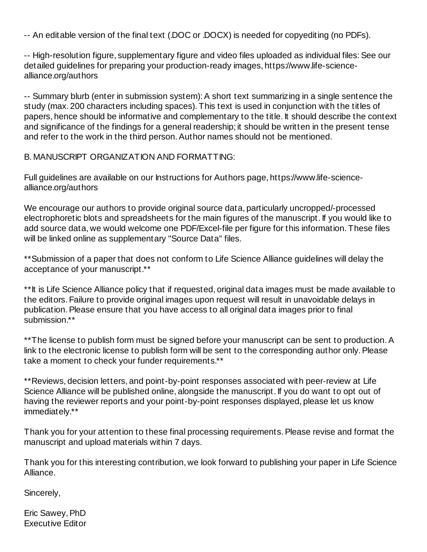-- An editable version of the final text (.DOC or .DOCX) is needed for copyediting (no PDFs).

-- High-resolution figure, supplementary figure and video files uploaded as individual files: See our detailed guidelines for preparing your production-ready images, https://www.life-sciencealliance.org/authors

-- Summary blurb (enter in submission system): A short text summarizing in a single sentence the study (max. 200 characters including spaces). This text is used in conjunction with the titles of papers, hence should be informative and complementary to the title. It should describe the context and significance of the findings for a general readership; it should be written in the present tense and refer to the work in the third person. Author names should not be mentioned.

B. MANUSCRIPT ORGANIZATION AND FORMATTING:

Full guidelines are available on our Instructions for Authors page, https://www.life-sciencealliance.org/authors

We encourage our authors to provide original source data, particularly uncropped/-processed electrophoretic blots and spreadsheets for the main figures of the manuscript. If you would like to add source data, we would welcome one PDF/Excel-file per figure for this information. These files will be linked online as supplementary "Source Data" files.

\*\*Submission of a paper that does not conform to Life Science Alliance guidelines will delay the acceptance of your manuscript.\*\*

\*\*It is Life Science Alliance policy that if requested, original data images must be made available to the editors. Failure to provide original images upon request will result in unavoidable delays in publication. Please ensure that you have access to all original data images prior to final submission.\*\*

\*\* The license to publish form must be signed before your manuscript can be sent to production. A link to the electronic license to publish form will be sent to the corresponding author only. Please take a moment to check your funder requirements.\*\*

\*\*Reviews, decision letters, and point-by-point responses associated with peer-review at Life Science Alliance will be published online, alongside the manuscript. If you do want to opt out of having the reviewer reports and your point-by-point responses displayed, please let us know immediately.\*\*

Thank you for your attention to these final processing requirements. Please revise and format the manuscript and upload materials within 7 days.

Thank you for this interesting contribution, we look forward to publishing your paper in Life Science Alliance.

Sincerely,

Eric Sawey, PhD Executive Editor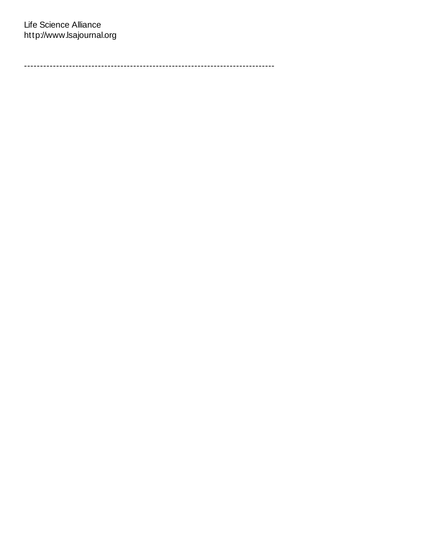------------------------------------------------------------------------------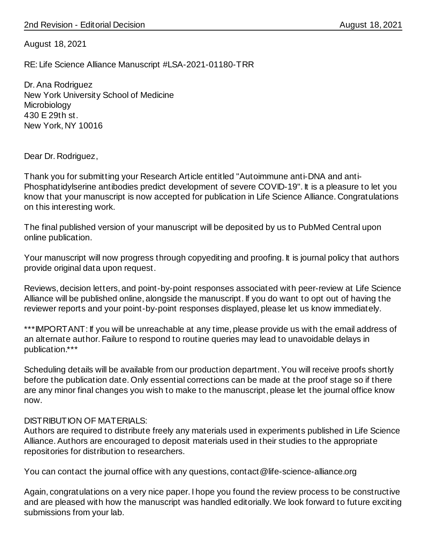August 18, 2021

RE: Life Science Alliance Manuscript #LSA-2021-01180-TRR

Dr. Ana Rodriguez New York University School of Medicine **Microbiology** 430 E 29th st. New York, NY 10016

Dear Dr. Rodriguez,

Thank you for submitting your Research Article entitled "Autoimmune anti-DNA and anti-Phosphatidylserine antibodies predict development of severe COVID-19". It is a pleasure to let you know that your manuscript is now accepted for publication in Life Science Alliance. Congratulations on this interesting work.

The final published version of your manuscript will be deposited by us to PubMed Central upon online publication.

Your manuscript will now progress through copyediting and proofing. It is journal policy that authors provide original data upon request.

Reviews, decision letters, and point-by-point responses associated with peer-review at Life Science Alliance will be published online, alongside the manuscript. If you do want to opt out of having the reviewer reports and your point-by-point responses displayed, please let us know immediately.

\*\*\*IMPORTANT: If you will be unreachable at any time, please provide us with the email address of an alternate author. Failure to respond to routine queries may lead to unavoidable delays in publication.\*\*\*

Scheduling details will be available from our production department. You will receive proofs shortly before the publication date. Only essential corrections can be made at the proof stage so if there are any minor final changes you wish to make to the manuscript, please let the journal office know now.

#### DISTRIBUTION OF MATERIALS:

Authors are required to distribute freely any materials used in experiments published in Life Science Alliance. Authors are encouraged to deposit materials used in their studies to the appropriate repositories for distribution to researchers.

You can contact the journal office with any questions, contact@life-science-alliance.org

Again, congratulations on a very nice paper. I hope you found the review process to be constructive and are pleased with how the manuscript was handled editorially. We look forward to future exciting submissions from your lab.